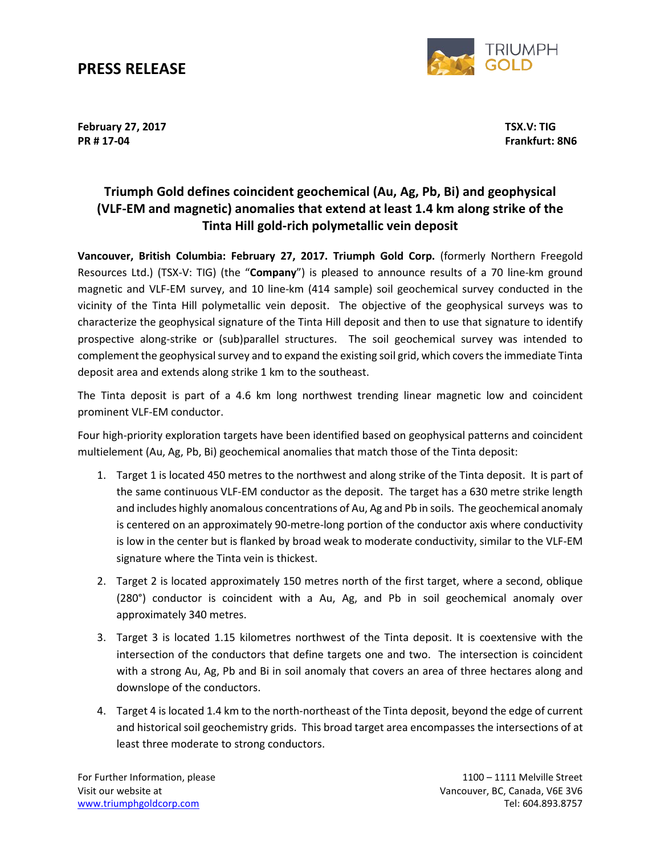### **PRESS RELEASE**



**February 27, 2017 TSX.V: TIG PR # 17-04 Frankfurt: 8N6**

### **Triumph Gold defines coincident geochemical (Au, Ag, Pb, Bi) and geophysical (VLF-EM and magnetic) anomalies that extend at least 1.4 km along strike of the Tinta Hill gold-rich polymetallic vein deposit**

**Vancouver, British Columbia: February 27, 2017. Triumph Gold Corp.** (formerly Northern Freegold Resources Ltd.) (TSX-V: TIG) (the "**Company**") is pleased to announce results of a 70 line-km ground magnetic and VLF-EM survey, and 10 line-km (414 sample) soil geochemical survey conducted in the vicinity of the Tinta Hill polymetallic vein deposit. The objective of the geophysical surveys was to characterize the geophysical signature of the Tinta Hill deposit and then to use that signature to identify prospective along-strike or (sub)parallel structures. The soil geochemical survey was intended to complement the geophysical survey and to expand the existing soil grid, which covers the immediate Tinta deposit area and extends along strike 1 km to the southeast.

The Tinta deposit is part of a 4.6 km long northwest trending linear magnetic low and coincident prominent VLF-EM conductor.

Four high-priority exploration targets have been identified based on geophysical patterns and coincident multielement (Au, Ag, Pb, Bi) geochemical anomalies that match those of the Tinta deposit:

- 1. Target 1 is located 450 metres to the northwest and along strike of the Tinta deposit. It is part of the same continuous VLF-EM conductor as the deposit. The target has a 630 metre strike length and includes highly anomalous concentrations of Au, Ag and Pb in soils. The geochemical anomaly is centered on an approximately 90-metre-long portion of the conductor axis where conductivity is low in the center but is flanked by broad weak to moderate conductivity, similar to the VLF-EM signature where the Tinta vein is thickest.
- 2. Target 2 is located approximately 150 metres north of the first target, where a second, oblique (280°) conductor is coincident with a Au, Ag, and Pb in soil geochemical anomaly over approximately 340 metres.
- 3. Target 3 is located 1.15 kilometres northwest of the Tinta deposit. It is coextensive with the intersection of the conductors that define targets one and two. The intersection is coincident with a strong Au, Ag, Pb and Bi in soil anomaly that covers an area of three hectares along and downslope of the conductors.
- 4. Target 4 is located 1.4 km to the north-northeast of the Tinta deposit, beyond the edge of current and historical soil geochemistry grids. This broad target area encompasses the intersections of at least three moderate to strong conductors.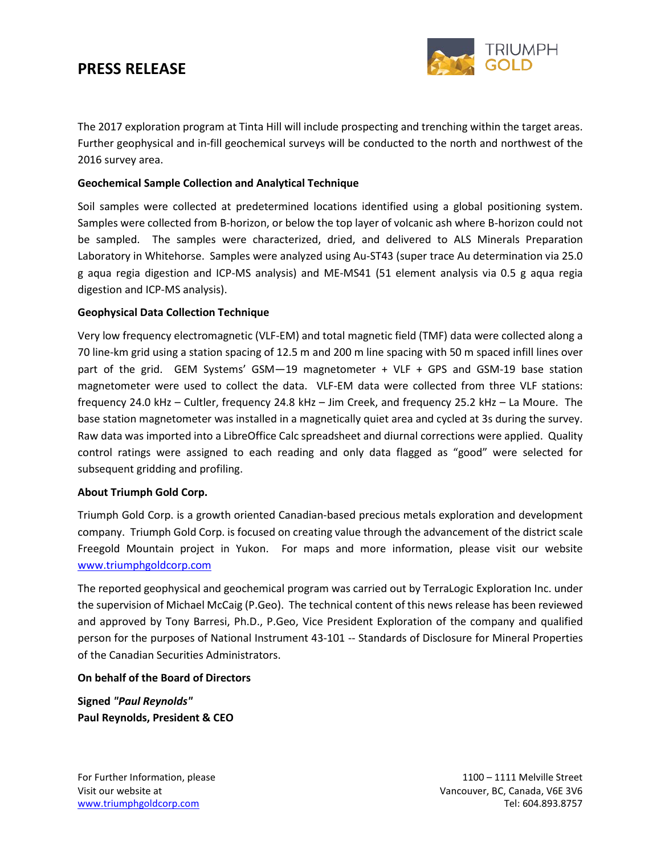# **PRESS RELEASE**



The 2017 exploration program at Tinta Hill will include prospecting and trenching within the target areas. Further geophysical and in-fill geochemical surveys will be conducted to the north and northwest of the 2016 survey area.

#### **Geochemical Sample Collection and Analytical Technique**

Soil samples were collected at predetermined locations identified using a global positioning system. Samples were collected from B-horizon, or below the top layer of volcanic ash where B-horizon could not be sampled. The samples were characterized, dried, and delivered to ALS Minerals Preparation Laboratory in Whitehorse. Samples were analyzed using Au-ST43 (super trace Au determination via 25.0 g aqua regia digestion and ICP-MS analysis) and ME-MS41 (51 element analysis via 0.5 g aqua regia digestion and ICP-MS analysis).

#### **Geophysical Data Collection Technique**

Very low frequency electromagnetic (VLF-EM) and total magnetic field (TMF) data were collected along a 70 line-km grid using a station spacing of 12.5 m and 200 m line spacing with 50 m spaced infill lines over part of the grid. GEM Systems' GSM—19 magnetometer + VLF + GPS and GSM-19 base station magnetometer were used to collect the data. VLF-EM data were collected from three VLF stations: frequency 24.0 kHz – Cultler, frequency 24.8 kHz – Jim Creek, and frequency 25.2 kHz – La Moure. The base station magnetometer was installed in a magnetically quiet area and cycled at 3s during the survey. Raw data was imported into a LibreOffice Calc spreadsheet and diurnal corrections were applied. Quality control ratings were assigned to each reading and only data flagged as "good" were selected for subsequent gridding and profiling.

#### **About Triumph Gold Corp.**

Triumph Gold Corp. is a growth oriented Canadian-based precious metals exploration and development company. Triumph Gold Corp. is focused on creating value through the advancement of the district scale Freegold Mountain project in Yukon. For maps and more information, please visit our website [www.triumphgoldcorp.com](http://www.triumphgoldcorp.com/)

The reported geophysical and geochemical program was carried out by TerraLogic Exploration Inc. under the supervision of Michael McCaig (P.Geo). The technical content of this news release has been reviewed and approved by Tony Barresi, Ph.D., P.Geo, Vice President Exploration of the company and qualified person for the purposes of National Instrument 43-101 -- Standards of Disclosure for Mineral Properties of the Canadian Securities Administrators.

#### **On behalf of the Board of Directors**

**Signed** *"Paul Reynolds"* **Paul Reynolds, President & CEO**